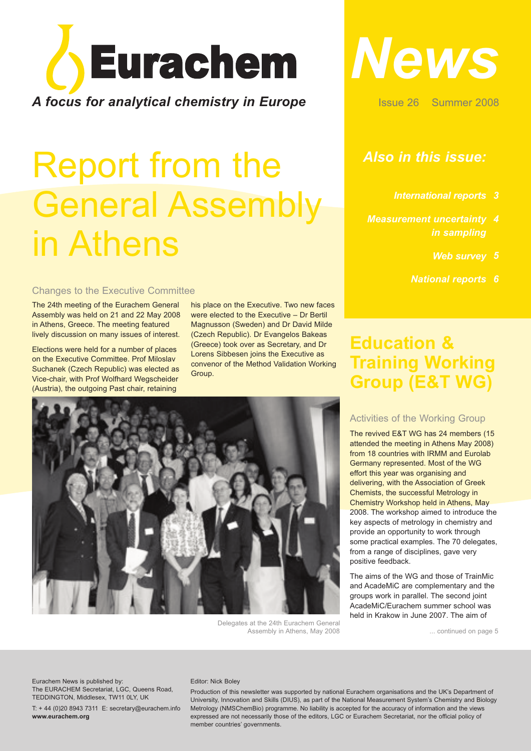

## Report from the General Assembly in Athens

#### Changes to the Executive Committee

The 24th meeting of the Eurachem General Assembly was held on 21 and 22 May 2008 in Athens, Greece. The meeting featured lively discussion on many issues of interest.

Elections were held for a number of places on the Executive Committee. Prof Miloslav Suchanek (Czech Republic) was elected as Vice-chair, with Prof Wolfhard Wegscheider (Austria), the outgoing Past chair, retaining

his place on the Executive. Two new faces were elected to the Executive – Dr Bertil Magnusson (Sweden) and Dr David Milde (Czech Republic). Dr Evangelos Bakeas (Greece) took over as Secretary, and Dr Lorens Sibbesen joins the Executive as convenor of the Method Validation Working **Group.** 



Delegates at the 24th Eurachem General Assembly in Athens, May 2008



Issue 26 Summer 2008

### *Also in this issue:*

- *Measurement uncertainty 4 in sampling*
	- *Web survey 5*
	- *National reports 6*

### **Education & Training Working Group (E&T WG)**

#### Activities of the Working Group

The revived E&T WG has 24 members (15 attended the meeting in Athens May 2008) from 18 countries with IRMM and Eurolab Germany represented. Most of the WG effort this year was organising and delivering, with the Association of Greek Chemists, the successful Metrology in Chemistry Workshop held in Athens, May 2008. The workshop aimed to introduce the key aspects of metrology in chemistry and provide an opportunity to work through some practical examples. The 70 delegates, from a range of disciplines, gave very positive feedback.

The aims of the WG and those of TrainMic and AcadeMiC are complementary and the groups work in parallel. The second joint AcadeMiC/Eurachem summer school was held in Krakow in June 2007. The aim of

... continued on page 5

Eurachem News is published by: The EURACHEM Secretariat, LGC, Queens Road, TEDDINGTON, Middlesex, TW11 0LY, UK

T: + 44 (0)20 8943 7311 E: secretary@eurachem.info **www.eurachem.org**

#### Editor: Nick Boley

Production of this newsletter was supported by national Eurachem organisations and the UK's Department of University, Innovation and Skills (DIUS), as part of the National Measurement System's Chemistry and Biology Metrology (NMSChemBio) programme. No liability is accepted for the accuracy of information and the views expressed are not necessarily those of the editors, LGC or Eurachem Secretariat, nor the official policy of member countries' governments.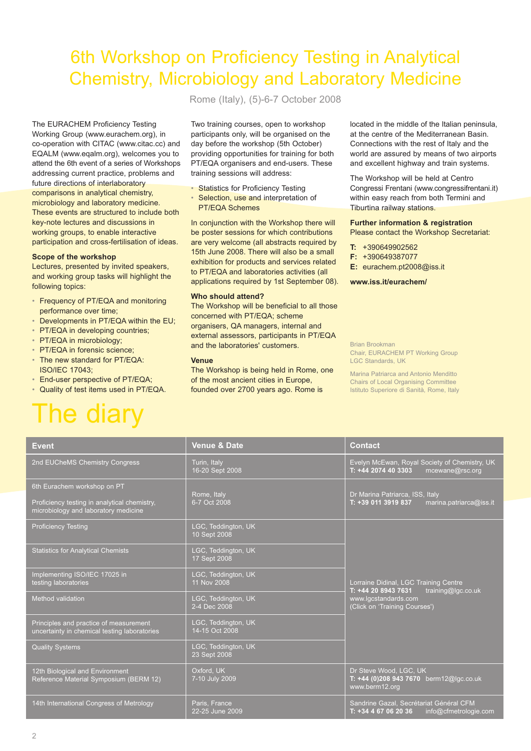### 6th Workshop on Proficiency Testing in Analytical Chemistry, Microbiology and Laboratory Medicine

The EURACHEM Proficiency Testing Working Group (www.eurachem.org), in co-operation with CITAC (www.citac.cc) and EQALM (www.eqalm.org), welcomes you to attend the 6th event of a series of Workshops addressing current practice, problems and future directions of interlaboratory comparisons in analytical chemistry, microbiology and laboratory medicine. These events are structured to include both key-note lectures and discussions in working groups, to enable interactive participation and cross-fertilisation of ideas.

#### **Scope of the workshop**

Lectures, presented by invited speakers, and working group tasks will highlight the following topics:

- Frequency of PT/EQA and monitoring performance over time;
- Developments in PT/EQA within the EU;
- PT/EQA in developing countries:
- PT/EQA in microbiology;
- PT/EQA in forensic science;
- The new standard for PT/EQA: ISO/IEC 17043;
- End-user perspective of PT/EQA;
- Quality of test items used in PT/EQA.

## The diary

Rome (Italy), (5)-6-7 October 2008

Two training courses, open to workshop participants only, will be organised on the day before the workshop (5th October) providing opportunities for training for both PT/EQA organisers and end-users. These training sessions will address:

- Statistics for Proficiency Testing
- Selection, use and interpretation of PT/EQA Schemes

In conjunction with the Workshop there will be poster sessions for which contributions are very welcome (all abstracts required by 15th June 2008. There will also be a small exhibition for products and services related to PT/EQA and laboratories activities (all applications required by 1st September 08).

#### **Who should attend?**

The Workshop will be beneficial to all those concerned with PT/EQA; scheme organisers, QA managers, internal and external assessors, participants in PT/EQA and the laboratories' customers.

#### **Venue**

The Workshop is being held in Rome, one of the most ancient cities in Europe, founded over 2700 years ago. Rome is

located in the middle of the Italian peninsula, at the centre of the Mediterranean Basin. Connections with the rest of Italy and the world are assured by means of two airports and excellent highway and train systems.

The Workshop will be held at Centro Congressi Frentani (www.congressifrentani.it) within easy reach from both Termini and Tiburtina railway stations.

#### **Further information & registration**

Please contact the Workshop Secretariat:

- **T:** +390649902562
- **F:** +390649387077
- **E:** eurachem.pt2008@iss.it

#### **www.iss.it/eurachem/**

Brian Brookman Chair, EURACHEM PT Working Group LGC Standards, UK

Marina Patriarca and Antonio Menditto Chairs of Local Organising Committee Istituto Superiore di Sanità, Rome, Italy

| <b>Event</b>                                                                                                        | <b>Venue &amp; Date</b>               | <b>Contact</b>                                                                                                                              |  |
|---------------------------------------------------------------------------------------------------------------------|---------------------------------------|---------------------------------------------------------------------------------------------------------------------------------------------|--|
| 2nd EUCheMS Chemistry Congress                                                                                      | Turin, Italy<br>16-20 Sept 2008       | Evelyn McEwan, Royal Society of Chemistry, UK<br>T: +44 2074 40 3303<br>mcewane@rsc.org                                                     |  |
| 6th Eurachem workshop on PT<br>Proficiency testing in analytical chemistry,<br>microbiology and laboratory medicine | Rome, Italy<br>6-7 Oct 2008           | Dr Marina Patriarca, ISS, Italy<br>T: +39 011 3919 837<br>marina.patriarca@iss.it                                                           |  |
| Proficiency Testing                                                                                                 | LGC, Teddington, UK<br>10 Sept 2008   | Lorraine Didinal, LGC Training Centre<br>training@lgc.co.uk<br>T: +44 20 8943 7631<br>www.lgcstandards.com<br>(Click on 'Training Courses') |  |
| <b>Statistics for Analytical Chemists</b>                                                                           | LGC, Teddington, UK<br>17 Sept 2008   |                                                                                                                                             |  |
| Implementing ISO/IEC 17025 in<br>testing laboratories                                                               | LGC, Teddington, UK<br>11 Nov 2008    |                                                                                                                                             |  |
| Method validation                                                                                                   | LGC, Teddington, UK<br>2-4 Dec 2008   |                                                                                                                                             |  |
| Principles and practice of measurement<br>uncertainty in chemical testing laboratories                              | LGC, Teddington, UK<br>14-15 Oct 2008 |                                                                                                                                             |  |
| <b>Quality Systems</b>                                                                                              | LGC, Teddington, UK<br>23 Sept 2008   |                                                                                                                                             |  |
| 12th Biological and Environment<br>Reference Material Symposium (BERM 12)                                           | Oxford. UK<br>7-10 July 2009          | Dr Steve Wood, LGC, UK<br>T: +44 (0)208 943 7670 berm12@lgc.co.uk<br>www.berm12.org                                                         |  |
| 14th International Congress of Metrology                                                                            | Paris, France<br>22-25 June 2009      | Sandrine Gazal, Secrétariat Général CFM<br>$T: +34467062036$<br>info@cfmetrologie.com                                                       |  |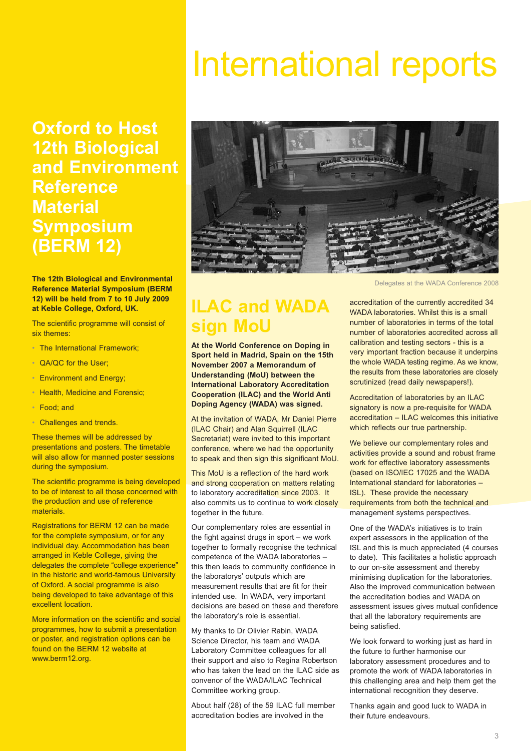## International reports

**Oxford to Host 12th Biological and Environment Reference Material Symposium (BERM 12)**

**The 12th Biological and Environmental Reference Material Symposium (BERM 12) will be held from 7 to 10 July 2009 at Keble College, Oxford, UK.**

The scientific programme will consist of six themes:

- The International Framework:
- QA/QC for the User;
- Environment and Energy;
- Health, Medicine and Forensic:
- Food; and
- Challenges and trends.

These themes will be addressed by presentations and posters. The timetable will also allow for manned poster sessions during the symposium.

The scientific programme is being developed to be of interest to all those concerned with the production and use of reference materials.

Registrations for BERM 12 can be made for the complete symposium, or for any individual day. Accommodation has been arranged in Keble College, giving the delegates the complete "college experience" in the historic and world-famous University of Oxford. A social programme is also being developed to take advantage of this excellent location.

More information on the scientific and social programmes, how to submit a presentation or poster, and registration options can be found on the BERM 12 website at www.berm12.org.



### **ILAC and WADA sign MoU**

**At the World Conference on Doping in Sport held in Madrid, Spain on the 15th November 2007 a Memorandum of Understanding (MoU) between the International Laboratory Accreditation Cooperation (ILAC) and the World Anti Doping Agency (WADA) was signed.**

At the invitation of WADA, Mr Daniel Pierre (ILAC Chair) and Alan Squirrell (ILAC Secretariat) were invited to this important conference, where we had the opportunity to speak and then sign this significant MoU.

This MoU is a reflection of the hard work and strong cooperation on matters relating to laboratory accreditation since 2003. It also commits us to continue to work closely together in the future.

Our complementary roles are essential in the fight against drugs in sport – we work together to formally recognise the technical competence of the WADA laboratories – this then leads to community confidence in the laboratorys' outputs which are measurement results that are fit for their intended use. In WADA, very important decisions are based on these and therefore the laboratory's role is essential.

My thanks to Dr Olivier Rabin, WADA Science Director, his team and WADA Laboratory Committee colleagues for all their support and also to Regina Robertson who has taken the lead on the ILAC side as convenor of the WADA/ILAC Technical Committee working group.

About half (28) of the 59 ILAC full member accreditation bodies are involved in the

Delegates at the WADA Conference 2008

accreditation of the currently accredited 34 WADA laboratories. Whilst this is a small number of laboratories in terms of the total number of laboratories accredited across all calibration and testing sectors - this is a very important fraction because it underpins the whole WADA testing regime. As we know, the results from these laboratories are closely scrutinized (read daily newspapers!).

Accreditation of laboratories by an ILAC signatory is now a pre-requisite for WADA accreditation – ILAC welcomes this initiative which reflects our true partnership.

We believe our complementary roles and activities provide a sound and robust frame work for effective laboratory assessments (based on ISO/IEC 17025 and the WADA International standard for laboratories – ISL). These provide the necessary requirements from both the technical and management systems perspectives.

One of the WADA's initiatives is to train expert assessors in the application of the ISL and this is much appreciated (4 courses to date). This facilitates a holistic approach to our on-site assessment and thereby minimising duplication for the laboratories. Also the improved communication between the accreditation bodies and WADA on assessment issues gives mutual confidence that all the laboratory requirements are being satisfied.

We look forward to working just as hard in the future to further harmonise our laboratory assessment procedures and to promote the work of WADA laboratories in this challenging area and help them get the international recognition they deserve.

Thanks again and good luck to WADA in their future endeavours.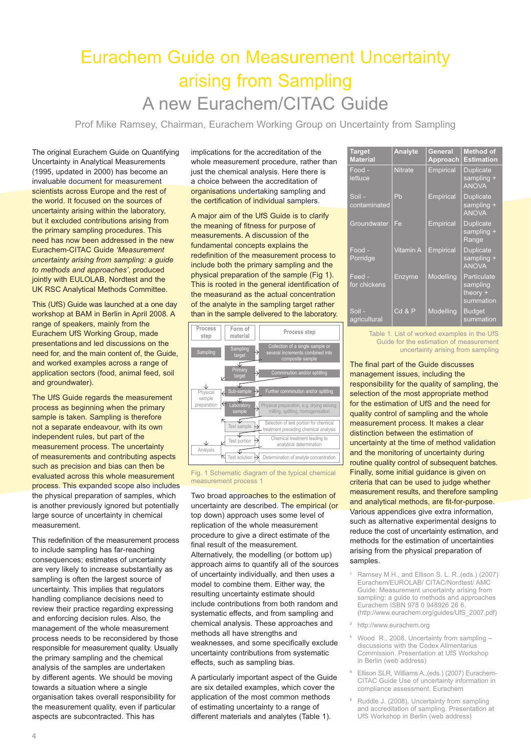### Eurachem Guide on Measurement Uncertainty arising from Sampling A new Eurachem/CITAC Guide

Prof Mike Ramsey, Chairman, Eurachem Working Group on Uncertainty from Sampling

The original Eurachem Guide on Quantifying Uncertainty in Analytical Measurements (1995, updated in 2000) has become an invaluable document for measurement scientists across Europe and the rest of the world. It focused on the sources of uncertainty arising within the laboratory, but it excluded contributions arising from the primary sampling procedures. This need has now been addressed in the new Eurachem-CITAC Guide *'Measurement uncertainty arising from sampling: a guide to methods and approaches'*, produced jointly with EULOLAB, Nordtest and the UK RSC Analytical Methods Committee.

This (UfS) Guide was launched at a one day workshop at BAM in Berlin in April 2008. A range of speakers, mainly from the Eurachem UfS Working Group, made presentations and led discussions on the need for, and the main content of, the Guide, and worked examples across a range of application sectors (food, animal feed, soil and groundwater).

The UfS Guide regards the measurement process as beginning when the primary sample is taken. Sampling is therefore not a separate endeavour, with its own independent rules, but part of the measurement process. The uncertainty of measurements and contributing aspects such as precision and bias can then be evaluated across this whole measurement process. This expanded scope also includes the physical preparation of samples, which is another previously ignored but potentially large source of uncertainty in chemical measurement.

This redefinition of the measurement process to include sampling has far-reaching consequences; estimates of uncertainty are very likely to increase substantially as sampling is often the largest source of uncertainty. This implies that regulators handling compliance decisions need to review their practice regarding expressing and enforcing decision rules. Also, the management of the whole measurement process needs to be reconsidered by those responsible for measurement quality. Usually the primary sampling and the chemical analysis of the samples are undertaken by different agents. We should be moving towards a situation where a single organisation takes overall responsibility for the measurement quality, even if particular aspects are subcontracted. This has

implications for the accreditation of the whole measurement procedure, rather than just the chemical analysis. Here there is a choice between the accreditation of organisations undertaking sampling and the certification of individual samplers.

A major aim of the UfS Guide is to clarify the meaning of fitness for purpose of measurements. A discussion of the fundamental concepts explains the redefinition of the measurement process to include both the primary sampling and the physical preparation of the sample (Fig 1). This is rooted in the general identification of the measurand as the actual concentration of the analyte in the sampling target rather than in the sample delivered to the laboratory.



Fig. 1 Schematic diagram of the typical chemical measurement process 1

Two broad approaches to the estimation of uncertainty are described. The empirical (or top down) approach uses some level of replication of the whole measurement procedure to give a direct estimate of the final result of the measurement. Alternatively, the modelling (or bottom up) approach aims to quantify all of the sources of uncertainty individually, and then uses a model to combine them. Either way, the resulting uncertainty estimate should include contributions from both random and systematic effects, and from sampling and chemical analysis. These approaches and methods all have strengths and weaknesses, and some specifically exclude uncertainty contributions from systematic effects, such as sampling bias.

A particularly important aspect of the Guide are six detailed examples, which cover the application of the most common methods of estimating uncertainty to a range of different materials and analytes (Table 1).

| <b>Target</b><br><b>Material</b> | <b>Analyte</b>   | General<br>Approach | <b>Method of</b><br><b>Estimation</b>              |
|----------------------------------|------------------|---------------------|----------------------------------------------------|
| Food -<br>lettuce                | <b>Nitrate</b>   | <b>Empirical</b>    | <b>Duplicate</b><br>sampling +<br><b>ANOVA</b>     |
| Soil -<br>contaminated           | Pb               | Empirical           | <b>Duplicate</b><br>sampling +<br><b>ANOVA</b>     |
| Groundwater                      | Fe               | <b>Empirical</b>    | <b>Duplicate</b><br>sampling +<br>Range            |
| Food -<br>Porridge               | <b>Vitamin A</b> | Empirical           | <b>Duplicate</b><br>sampling +<br><b>ANOVA</b>     |
| Feed -<br>for chickens           | Enzyme           | Modelling           | Particulate<br>sampling<br>theory $+$<br>summation |
| Soil -<br>agricultural           | $Cd$ & $P$       | Modelling           | <b>Budget</b><br>summation                         |

Table 1. List of worked examples in the UfS Guide for the estimation of measurement uncertainty arising from sampling

The final part of the Guide discusses management issues, including the responsibility for the quality of sampling, the selection of the most appropriate method for the estimation of UfS and the need for quality control of sampling and the whole measurement process. It makes a clear distinction between the estimation of uncertainty at the time of method validation and the monitoring of uncertainty during routine quality control of subsequent batches. Finally, some initial guidance is given on criteria that can be used to judge whether measurement results, and therefore sampling and analytical methods, are fit-for-purpose. Various appendices give extra information, such as alternative experimental designs to reduce the cost of uncertainty estimation, and methods for the estimation of uncertainties arising from the physical preparation of samples.

- **<sup>1</sup>** Ramsey M.H., and Ellison S. L. R.,(eds.) (2007) Eurachem/EUROLAB/ CITAC/Nordtest/ AMC Guide: Measurement uncertainty arising from sampling: a guide to methods and approaches Eurachem ISBN 978 0 948926 26 6. (http://www.eurachem.org/guides/UfS\_2007.pdf)
- **<sup>2</sup>** http://www.eurachem.org
- **<sup>3</sup>** Wood R., 2008, Uncertainty from sampling discussions with the Codex Alimentarius Commission. Presentation at UfS Workshop in Berlin (web address)
- **<sup>4</sup>** Ellison SLR, Williams A.,(eds.) (2007) Eurachem-CITAC Guide Use of uncertainty information in compliance assessment. Eurachem
- **<sup>5</sup>** Ruddle J. (2008), Uncertainty from sampling and accreditation of sampling. Presentation at UfS Workshop in Berlin (web address)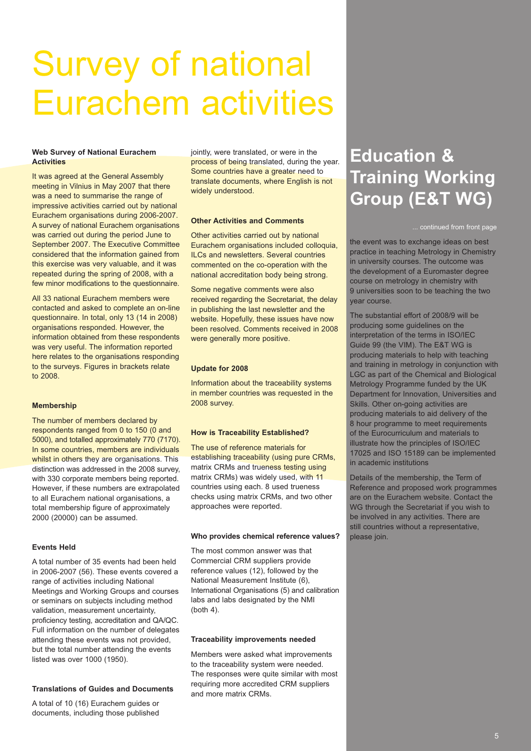## Survey of national Eurachem activities

#### **Web Survey of National Eurachem Activities**

It was agreed at the General Assembly meeting in Vilnius in May 2007 that there was a need to summarise the range of impressive activities carried out by national Eurachem organisations during 2006-2007. A survey of national Eurachem organisations was carried out during the period June to September 2007. The Executive Committee considered that the information gained from this exercise was very valuable, and it was repeated during the spring of 2008, with a few minor modifications to the questionnaire.

All 33 national Eurachem members were contacted and asked to complete an on-line questionnaire. In total, only 13 (14 in 2008) organisations responded. However, the information obtained from these respondents was very useful. The information reported here relates to the organisations responding to the surveys. Figures in brackets relate to 2008.

#### **Membership**

The number of members declared by respondents ranged from 0 to 150 (0 and 5000), and totalled approximately 770 (7170). In some countries, members are individuals whilst in others they are organisations. This distinction was addressed in the 2008 survey, with 330 corporate members being reported. However, if these numbers are extrapolated to all Eurachem national organisations, a total membership figure of approximately 2000 (20000) can be assumed.

#### **Events Held**

A total number of 35 events had been held in 2006-2007 (56). These events covered a range of activities including National Meetings and Working Groups and courses or seminars on subjects including method validation, measurement uncertainty, proficiency testing, accreditation and QA/QC. Full information on the number of delegates attending these events was not provided, but the total number attending the events listed was over 1000 (1950).

#### **Translations of Guides and Documents**

A total of 10 (16) Eurachem guides or documents, including those published jointly, were translated, or were in the process of being translated, during the year. Some countries have a greater need to translate documents, where English is not widely understood.

#### **Other Activities and Comments**

Other activities carried out by national Eurachem organisations included colloquia, ILCs and newsletters. Several countries commented on the co-operation with the national accreditation body being strong.

Some negative comments were also received regarding the Secretariat, the delay in publishing the last newsletter and the website. Hopefully, these issues have now been resolved. Comments received in 2008 were generally more positive.

#### **Update for 2008**

Information about the traceability systems in member countries was requested in the 2008 survey.

#### **How is Traceability Established?**

The use of reference materials for establishing traceability (using pure CRMs, matrix CRMs and trueness testing using matrix CRMs) was widely used, with 11 countries using each. 8 used trueness checks using matrix CRMs, and two other approaches were reported.

#### **Who provides chemical reference values?**

The most common answer was that Commercial CRM suppliers provide reference values (12), followed by the National Measurement Institute (6), International Organisations (5) and calibration labs and labs designated by the NMI (both 4).

#### **Traceability improvements needed**

Members were asked what improvements to the traceability system were needed. The responses were quite similar with most requiring more accredited CRM suppliers and more matrix CRMs.

### **Education & Training Working Group (E&T WG)**

... continued from front page

the event was to exchange ideas on best practice in teaching Metrology in Chemistry in university courses. The outcome was the development of a Euromaster degree course on metrology in chemistry with 9 universities soon to be teaching the two year course.

The substantial effort of 2008/9 will be producing some guidelines on the interpretation of the terms in ISO/IEC Guide 99 (the VIM). The E&T WG is producing materials to help with teaching and training in metrology in conjunction with LGC as part of the Chemical and Biological Metrology Programme funded by the UK Department for Innovation, Universities and Skills. Other on-going activities are producing materials to aid delivery of the 8 hour programme to meet requirements of the Eurocurriculum and materials to illustrate how the principles of ISO/IEC 17025 and ISO 15189 can be implemented in academic institutions

Details of the membership, the Term of Reference and proposed work programmes are on the Eurachem website. Contact the WG through the Secretariat if you wish to be involved in any activities. There are still countries without a representative, please join.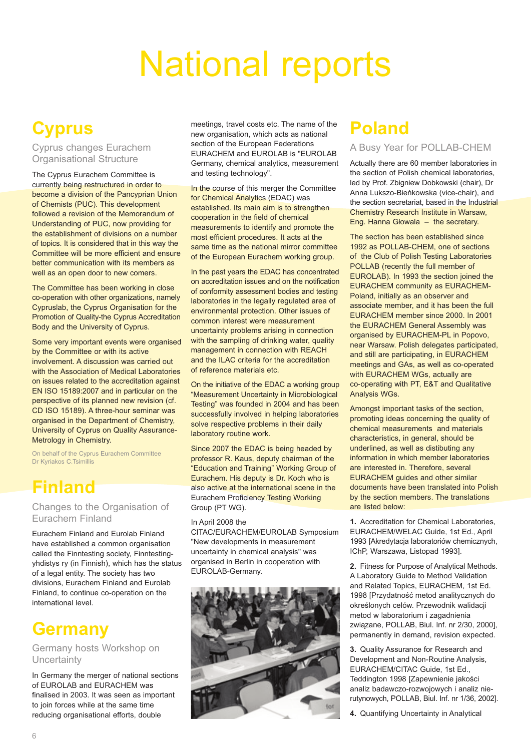## National reports

### **Cyprus**

Cyprus changes Eurachem Organisational Structure

The Cyprus Eurachem Committee is currently being restructured in order to become a division of the Pancyprian Union of Chemists (PUC). This development followed a revision of the Memorandum of Understanding of PUC, now providing for the establishment of divisions on a number of topics. It is considered that in this way the Committee will be more efficient and ensure better communication with its members as well as an open door to new comers.

The Committee has been working in close co-operation with other organizations, namely Cypruslab, the Cyprus Organisation for the Promotion of Quality-the Cyprus Accreditation Body and the University of Cyprus.

Some very important events were organised by the Committee or with its active involvement. A discussion was carried out with the Association of Medical Laboratories on issues related to the accreditation against EN ISO 15189:2007 and in particular on the perspective of its planned new revision (cf. CD ISO 15189). A three-hour seminar was organised in the Department of Chemistry, University of Cyprus on Quality Assurance-Metrology in Chemistry.

On behalf of the Cyprus Eurachem Committee Dr Kyriakos C.Tsimillis

### **Finland**

Changes to the Organisation of Eurachem Finland

Eurachem Finland and Eurolab Finland have established a common organisation called the Finntesting society, Finntestingyhdistys ry (in Finnish), which has the status of a legal entity. The society has two divisions, Eurachem Finland and Eurolab Finland, to continue co-operation on the international level.

### **Germany**

#### Germany hosts Workshop on **Uncertainty**

In Germany the merger of national sections of EUROLAB and EURACHEM was finalised in 2003. It was seen as important to join forces while at the same time reducing organisational efforts, double

meetings, travel costs etc. The name of the new organisation, which acts as national section of the European Federations EURACHEM and EUROLAB is "EUROLAB Germany, chemical analytics, measurement and testing technology".

In the course of this merger the Committee for Chemical Analytics (EDAC) was established. Its main aim is to strengthen cooperation in the field of chemical measurements to identify and promote the most efficient procedures. It acts at the same time as the national mirror committee of the European Eurachem working group.

In the past years the EDAC has concentrated on accreditation issues and on the notification of conformity assessment bodies and testing laboratories in the legally regulated area of environmental protection. Other issues of common interest were measurement uncertainty problems arising in connection with the sampling of drinking water, quality management in connection with REACH and the ILAC criteria for the accreditation of reference materials etc.

On the initiative of the EDAC a working group "Measurement Uncertainty in Microbiological Testing" was founded in 2004 and has been successfully involved in helping laboratories solve respective problems in their daily laboratory routine work.

Since 2007 the EDAC is being headed by professor R. Kaus, deputy chairman of the "Education and Training" Working Group of Eurachem. His deputy is Dr. Koch who is also active at the international scene in the **Eurachem Proficiency Testing Working** Group (PT WG).

#### In April 2008 the

CITAC/EURACHEM/EUROLAB Symposium "New developments in measurement uncertainty in chemical analysis" was organised in Berlin in cooperation with EUROLAB-Germany.



### **Poland**

#### A Busy Year for POLLAB-CHEM

Actually there are 60 member laboratories in the section of Polish chemical laboratories, led by Prof. Zbigniew Dobkowski (chair), Dr Anna Lukszo-Bieńkowska (vice-chair), and the section secretariat, based in the Industrial Chemistry Research Institute in Warsaw, Eng. Hanna Głowala – the secretary.

The section has been established since 1992 as POLLAB-CHEM, one of sections of the Club of Polish Testing Laboratories POLLAB (recently the full member of EUROLAB). In 1993 the section joined the EURACHEM community as EURACHEM-Poland, initially as an observer and associate member, and it has been the full EURACHEM member since 2000. In 2001 the EURACHEM General Assembly was organised by EURACHEM-PL in Popovo, near Warsaw. Polish delegates participated, and still are participating, in EURACHEM meetings and GAs, as well as co-operated with EURACHEM WGs, actually are co-operating with PT, E&T and Qualitative Analysis WGs.

Amongst important tasks of the section, promoting ideas concerning the quality of chemical measurements and materials characteristics, in general, should be underlined, as well as distibuting any information in which member laboratories are interested in. Therefore, several EURACHEM guides and other similar documents have been translated into Polish by the section members. The translations are listed below:

**1.** Accreditation for Chemical Laboratories, EURACHEM/WELAC Guide, 1st Ed., April 1993 [Akredytacja laboratoriów chemicznych, IChP, Warszawa, Listopad 1993].

**2.** Fitness for Purpose of Analytical Methods. A Laboratory Guide to Method Validation and Related Topics, EURACHEM, 1st Ed. 1998 [Przydatność metod analitycznych do określonych celów. Przewodnik walidacji metod w laboratorium i zagadnienia związane, POLLAB, Biul. Inf. nr 2/30, 2000], permanently in demand, revision expected.

**3.** Quality Assurance for Research and Development and Non-Routine Analysis, EURACHEM/CITAC Guide, 1st Ed., Teddington 1998 [Zapewnienie jakości analiz badawczo-rozwojowych i analiz nierutynowych, POLLAB, Biul. Inf. nr 1/36, 2002].

**4.** Quantifying Uncertainty in Analytical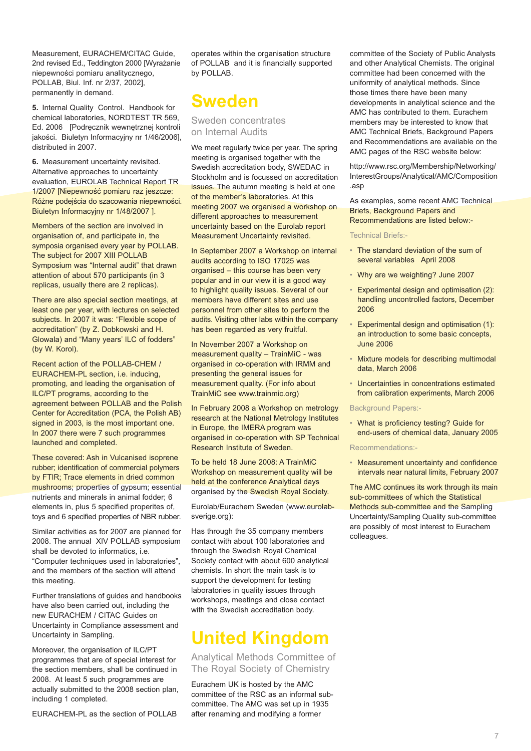Measurement, EURACHEM/CITAC Guide 2nd revised Ed., Teddington 2000 [Wyrażanie niepewności pomiaru analitycznego, POLLAB, Biul. Inf. nr 2/37, 2002], permanently in demand.

**5.** Internal Quality Control. Handbook for chemical laboratories, NORDTEST TR 569, Ed. 2006 [Podręcznik wewnętrznej kontroli jakości. Biuletyn Informacyjny nr 1/46/2006], distributed in 2007.

**6.** Measurement uncertainty revisited. Alternative approaches to uncertainty evaluation, EUROLAB Technical Report TR 1/2007 [Niepewność pomiaru raz jeszcze: Różne podejścia do szacowania niepewności. Biuletyn Informacyjny nr 1/48/2007 ].

Members of the section are involved in organisation of, and participate in, the symposia organised every year by POLLAB. The subject for 2007 XIII POLLAB Symposium was "Internal audit" that drawn attention of about 570 participants (in 3 replicas, usually there are 2 replicas).

There are also special section meetings, at least one per year, with lectures on selected subjects. In 2007 it was: "Flexible scope of accreditation" (by Z. Dobkowski and H. Glowala) and "Many years' ILC of fodders" (by W. Korol).

Recent action of the POLLAB-CHEM / EURACHEM-PL section, i.e. inducing, promoting, and leading the organisation of ILC/PT programs, according to the agreement between POLLAB and the Polish Center for Accreditation (PCA, the Polish AB) signed in 2003, is the most important one. In 2007 there were 7 such programmes launched and completed.

These covered: Ash in Vulcanised isoprene rubber; identification of commercial polymers by FTIR; Trace elements in dried common mushrooms; properties of gypsum; essential nutrients and minerals in animal fodder; 6 elements in, plus 5 specified properites of, toys and 6 specified properties of NBR rubber.

Similar activities as for 2007 are planned for 2008. The annual XIV POLLAB symposium shall be devoted to informatics, i.e. "Computer techniques used in laboratories", and the members of the section will attend this meeting.

Further translations of guides and handbooks have also been carried out, including the new EURACHEM / CITAC Guides on Uncertainty in Compliance assessment and Uncertainty in Sampling.

Moreover, the organisation of ILC/PT programmes that are of special interest for the section members, shall be continued in 2008. At least 5 such programmes are actually submitted to the 2008 section plan, including 1 completed.

EURACHEM-PL as the section of POLLAB

operates within the organisation structure of POLLAB and it is financially supported by POLLAB.

### **Sweden**

Sweden concentrates on Internal Audits

We meet regularly twice per year. The spring meeting is organised together with the Swedish accreditation body, SWEDAC in Stockholm and is focussed on accreditation issues. The autumn meeting is held at one of the member's laboratories. At this meeting 2007 we organised a workshop on different approaches to measurement uncertainty based on the Eurolab report Measurement Uncertainty revisited.

In September 2007 a Workshop on internal audits according to ISO 17025 was organised – this course has been very popular and in our view it is a good way to highlight quality issues. Several of our members have different sites and use personnel from other sites to perform the audits. Visiting other labs within the company has been regarded as very fruitful.

In November 2007 a Workshop on measurement quality – TrainMiC - was organised in co-operation with IRMM and presenting the general issues for measurement quality. (For info about TrainMiC see www.trainmic.org)

In February 2008 a Workshop on metrology research at the National Metrology Institutes in Europe, the IMERA program was organised in co-operation with SP Technical Research Institute of Sweden.

To be held 18 June 2008: A TrainMiC Workshop on measurement quality will be held at the conference Analytical days organised by the Swedish Royal Society.

Eurolab/Eurachem Sweden (www.eurolabsverige.org):

Has through the 35 company members contact with about 100 laboratories and through the Swedish Royal Chemical Society contact with about 600 analytical chemists. In short the main task is to support the development for testing laboratories in quality issues through workshops, meetings and close contact with the Swedish accreditation body.

### **United Kingdom**

Analytical Methods Committee of The Royal Society of Chemistry

Eurachem UK is hosted by the AMC committee of the RSC as an informal subcommittee. The AMC was set up in 1935 after renaming and modifying a former

committee of the Society of Public Analysts and other Analytical Chemists. The original committee had been concerned with the uniformity of analytical methods. Since those times there have been many developments in analytical science and the AMC has contributed to them. Eurachem members may be interested to know that AMC Technical Briefs, Background Papers and Recommendations are available on the AMC pages of the RSC website below:

http://www.rsc.org/Membership/Networking/ InterestGroups/Analytical/AMC/Composition .asp

As examples, some recent AMC Technical Briefs, Background Papers and Recommendations are listed below:-

Technical Briefs:-

- The standard deviation of the sum of several variables April 2008
- Why are we weighting? June 2007
- Experimental design and optimisation (2): handling uncontrolled factors, December 2006
- Experimental design and optimisation (1): an introduction to some basic concepts, June 2006
- Mixture models for describing multimodal data, March 2006
- Uncertainties in concentrations estimated from calibration experiments, March 2006

#### Background Papers:-

• What is proficiency testing? Guide for end-users of chemical data, January 2005

Recommendations:-

• Measurement uncertainty and confidence intervals near natural limits, February 2007

The AMC continues its work through its main sub-committees of which the Statistical Methods sub-committee and the Sampling Uncertainty/Sampling Quality sub-committee are possibly of most interest to Eurachem colleagues.